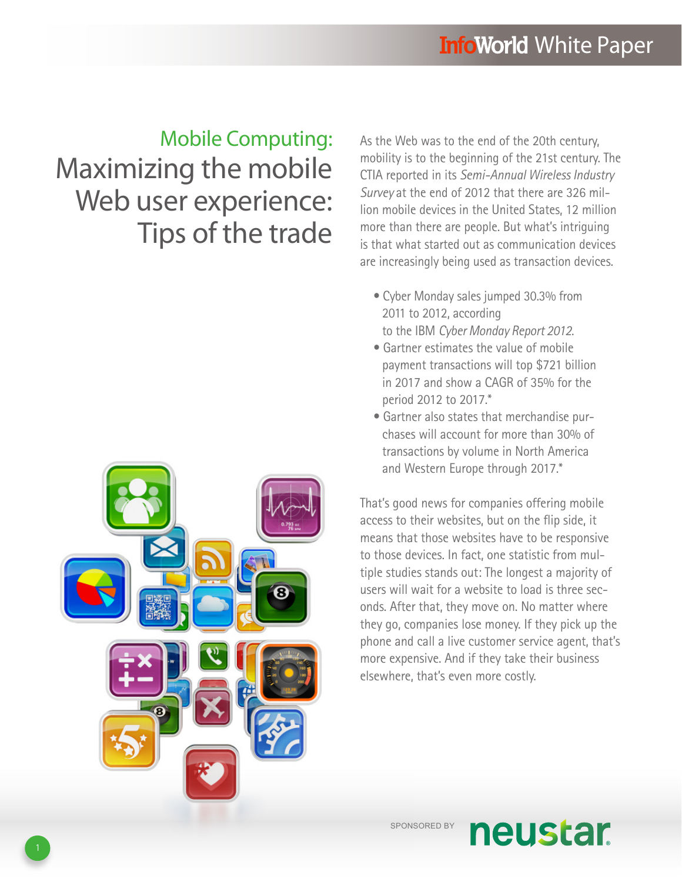# Mobile Computing: Maximizing the mobile Web user experience: Tips of the trade



As the Web was to the end of the 20th century, mobility is to the beginning of the 21st century. The CTIA reported in its *Semi-Annual Wireless Industry Survey* at the end of 2012 that there are 326 million mobile devices in the United States, 12 million more than there are people. But what's intriguing is that what started out as communication devices are increasingly being used as transaction devices.

- Cyber Monday sales jumped 30.3% from 2011 to 2012, according to the IBM *Cyber Monday Report 2012*.
- Gartner estimates the value of mobile payment transactions will top \$721 billion in 2017 and show a CAGR of 35% for the period 2012 to 2017.\*
- Gartner also states that merchandise purchases will account for more than 30% of transactions by volume in North America and Western Europe through 2017.\*

That's good news for companies offering mobile access to their websites, but on the flip side, it means that those websites have to be responsive to those devices. In fact, one statistic from multiple studies stands out: The longest a majority of users will wait for a website to load is three seconds. After that, they move on. No matter where they go, companies lose money. If they pick up the phone and call a live customer service agent, that's more expensive. And if they take their business elsewhere, that's even more costly.

SPONSORED BY

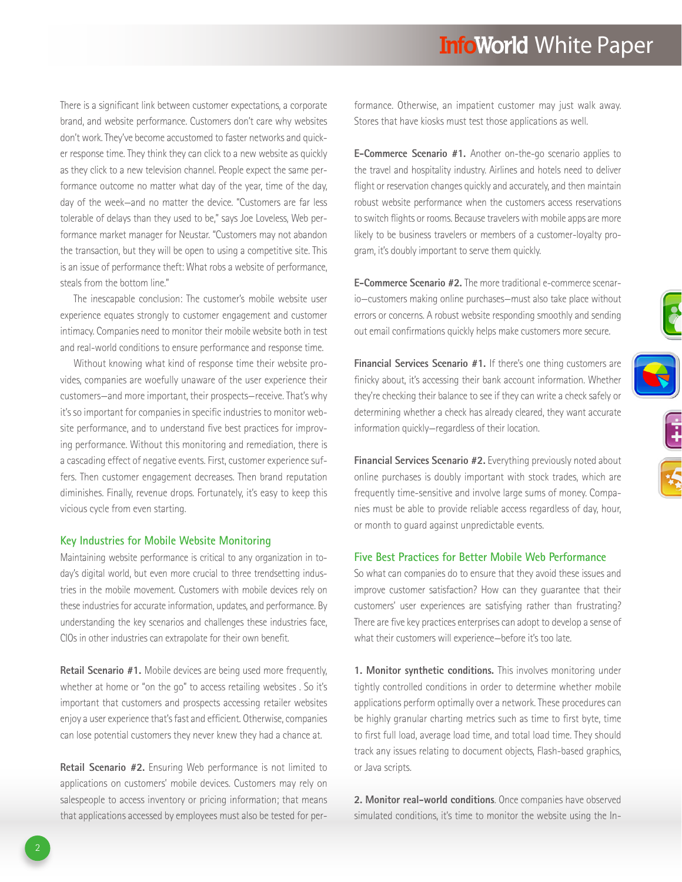### **InfoWorld White Paper**

There is a significant link between customer expectations, a corporate brand, and website performance. Customers don't care why websites don't work. They've become accustomed to faster networks and quicker response time. They think they can click to a new website as quickly as they click to a new television channel. People expect the same performance outcome no matter what day of the year, time of the day, day of the week—and no matter the device. "Customers are far less tolerable of delays than they used to be," says Joe Loveless, Web performance market manager for Neustar. "Customers may not abandon the transaction, but they will be open to using a competitive site. This is an issue of performance theft: What robs a website of performance, steals from the bottom line."

The inescapable conclusion: The customer's mobile website user experience equates strongly to customer engagement and customer intimacy. Companies need to monitor their mobile website both in test and real-world conditions to ensure performance and response time.

Without knowing what kind of response time their website provides, companies are woefully unaware of the user experience their customers—and more important, their prospects—receive. That's why it's so important for companies in specific industries to monitor website performance, and to understand five best practices for improving performance. Without this monitoring and remediation, there is a cascading effect of negative events. First, customer experience suffers. Then customer engagement decreases. Then brand reputation diminishes. Finally, revenue drops. Fortunately, it's easy to keep this vicious cycle from even starting.

#### **Key Industries for Mobile Website Monitoring**

Maintaining website performance is critical to any organization in today's digital world, but even more crucial to three trendsetting industries in the mobile movement. Customers with mobile devices rely on these industries for accurate information, updates, and performance. By understanding the key scenarios and challenges these industries face, CIOs in other industries can extrapolate for their own benefit.

**Retail Scenario #1.** Mobile devices are being used more frequently, whether at home or "on the go" to access retailing websites . So it's important that customers and prospects accessing retailer websites enjoy a user experience that's fast and efficient. Otherwise, companies can lose potential customers they never knew they had a chance at.

**Retail Scenario #2.** Ensuring Web performance is not limited to applications on customers' mobile devices. Customers may rely on salespeople to access inventory or pricing information; that means that applications accessed by employees must also be tested for per-

formance. Otherwise, an impatient customer may just walk away. Stores that have kiosks must test those applications as well.

**E-Commerce Scenario #1.** Another on-the-go scenario applies to the travel and hospitality industry. Airlines and hotels need to deliver flight or reservation changes quickly and accurately, and then maintain robust website performance when the customers access reservations to switch flights or rooms. Because travelers with mobile apps are more likely to be business travelers or members of a customer-loyalty program, it's doubly important to serve them quickly.

**E-Commerce Scenario #2.** The more traditional e-commerce scenario—customers making online purchases—must also take place without errors or concerns. A robust website responding smoothly and sending out email confirmations quickly helps make customers more secure.

**Financial Services Scenario #1.** If there's one thing customers are finicky about, it's accessing their bank account information. Whether they're checking their balance to see if they can write a check safely or determining whether a check has already cleared, they want accurate information quickly—regardless of their location.

 $\ddot{=}$ 

**Financial Services Scenario #2.** Everything previously noted about online purchases is doubly important with stock trades, which are frequently time-sensitive and involve large sums of money. Companies must be able to provide reliable access regardless of day, hour, or month to guard against unpredictable events.

### **Five Best Practices for Better Mobile Web Performance**

So what can companies do to ensure that they avoid these issues and improve customer satisfaction? How can they guarantee that their customers' user experiences are satisfying rather than frustrating? There are five key practices enterprises can adopt to develop a sense of what their customers will experience—before it's too late.

**1. Monitor synthetic conditions.** This involves monitoring under tightly controlled conditions in order to determine whether mobile applications perform optimally over a network. These procedures can be highly granular charting metrics such as time to first byte, time to first full load, average load time, and total load time. They should track any issues relating to document objects, Flash-based graphics, or Java scripts.

**2. Monitor real-world conditions**. Once companies have observed simulated conditions, it's time to monitor the website using the In-

2